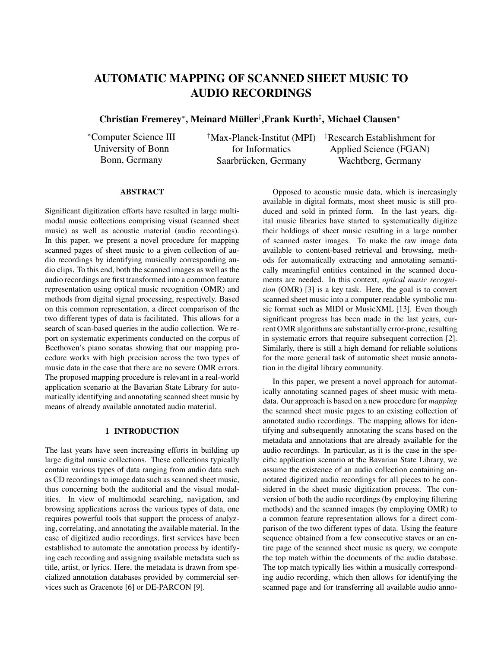# **AUTOMATIC MAPPING OF SCANNED SHEET MUSIC TO AUDIO RECORDINGS**

**Christian Fremerey**<sup>∗</sup> **, Meinard Muller ¨** † **,Frank Kurth**‡ **, Michael Clausen**<sup>∗</sup>

<sup>∗</sup>Computer Science III University of Bonn Bonn, Germany

for Informatics Saarbrücken, Germany

†Max-Planck-Institut (MPI) ‡Research Establishment for Applied Science (FGAN) Wachtberg, Germany

#### **ABSTRACT**

Significant digitization efforts have resulted in large multimodal music collections comprising visual (scanned sheet music) as well as acoustic material (audio recordings). In this paper, we present a novel procedure for mapping scanned pages of sheet music to a given collection of audio recordings by identifying musically corresponding audio clips. To this end, both the scanned images as well as the audio recordings are first transformed into a common feature representation using optical music recognition (OMR) and methods from digital signal processing, respectively. Based on this common representation, a direct comparison of the two different types of data is facilitated. This allows for a search of scan-based queries in the audio collection. We report on systematic experiments conducted on the corpus of Beethoven's piano sonatas showing that our mapping procedure works with high precision across the two types of music data in the case that there are no severe OMR errors. The proposed mapping procedure is relevant in a real-world application scenario at the Bavarian State Library for automatically identifying and annotating scanned sheet music by means of already available annotated audio material.

## **1 INTRODUCTION**

The last years have seen increasing efforts in building up large digital music collections. These collections typically contain various types of data ranging from audio data such as CD recordings to image data such as scanned sheet music, thus concerning both the auditorial and the visual modalities. In view of multimodal searching, navigation, and browsing applications across the various types of data, one requires powerful tools that support the process of analyzing, correlating, and annotating the available material. In the case of digitized audio recordings, first services have been established to automate the annotation process by identifying each recording and assigning available metadata such as title, artist, or lyrics. Here, the metadata is drawn from specialized annotation databases provided by commercial services such as Gracenote [6] or DE-PARCON [9].

Opposed to acoustic music data, which is increasingly available in digital formats, most sheet music is still produced and sold in printed form. In the last years, digital music libraries have started to systematically digitize their holdings of sheet music resulting in a large number of scanned raster images. To make the raw image data available to content-based retrieval and browsing, methods for automatically extracting and annotating semantically meaningful entities contained in the scanned documents are needed. In this context, *optical music recognition* (OMR) [3] is a key task. Here, the goal is to convert scanned sheet music into a computer readable symbolic music format such as MIDI or MusicXML [13]. Even though significant progress has been made in the last years, current OMR algorithms are substantially error-prone, resulting in systematic errors that require subsequent correction [2]. Similarly, there is still a high demand for reliable solutions for the more general task of automatic sheet music annotation in the digital library community.

In this paper, we present a novel approach for automatically annotating scanned pages of sheet music with metadata. Our approach is based on a new procedure for *mapping* the scanned sheet music pages to an existing collection of annotated audio recordings. The mapping allows for identifying and subsequently annotating the scans based on the metadata and annotations that are already available for the audio recordings. In particular, as it is the case in the specific application scenario at the Bavarian State Library, we assume the existence of an audio collection containing annotated digitized audio recordings for all pieces to be considered in the sheet music digitization process. The conversion of both the audio recordings (by employing filtering methods) and the scanned images (by employing OMR) to a common feature representation allows for a direct comparison of the two different types of data. Using the feature sequence obtained from a few consecutive staves or an entire page of the scanned sheet music as query, we compute the top match within the documents of the audio database. The top match typically lies within a musically corresponding audio recording, which then allows for identifying the scanned page and for transferring all available audio anno-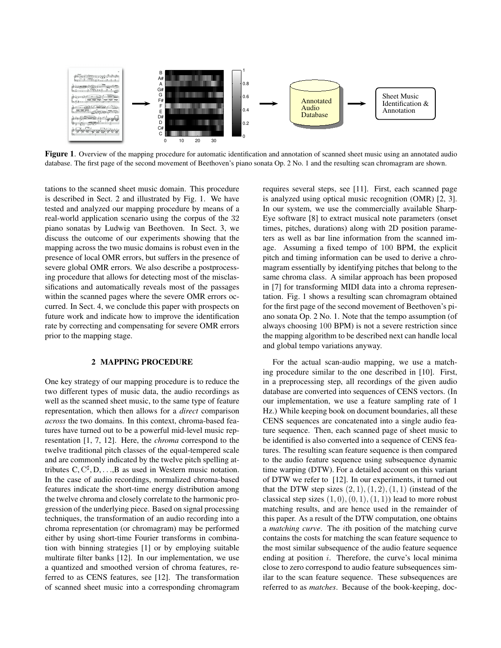

Figure 1. Overview of the mapping procedure for automatic identification and annotation of scanned sheet music using an annotated audio database. The first page of the second movement of Beethoven's piano sonata Op. 2 No. 1 and the resulting scan chromagram are shown.

tations to the scanned sheet music domain. This procedure is described in Sect. 2 and illustrated by Fig. 1. We have tested and analyzed our mapping procedure by means of a real-world application scenario using the corpus of the 32 piano sonatas by Ludwig van Beethoven. In Sect. 3, we discuss the outcome of our experiments showing that the mapping across the two music domains is robust even in the presence of local OMR errors, but suffers in the presence of severe global OMR errors. We also describe a postprocessing procedure that allows for detecting most of the misclassifications and automatically reveals most of the passages within the scanned pages where the severe OMR errors occurred. In Sect. 4, we conclude this paper with prospects on future work and indicate how to improve the identification rate by correcting and compensating for severe OMR errors prior to the mapping stage.

### **2 MAPPING PROCEDURE**

One key strategy of our mapping procedure is to reduce the two different types of music data, the audio recordings as well as the scanned sheet music, to the same type of feature representation, which then allows for a *direct* comparison *across* the two domains. In this context, chroma-based features have turned out to be a powerful mid-level music representation [1, 7, 12]. Here, the *chroma* correspond to the twelve traditional pitch classes of the equal-tempered scale and are commonly indicated by the twelve pitch spelling attributes C,  $C^{\sharp}, D, \ldots, B$  as used in Western music notation. In the case of audio recordings, normalized chroma-based features indicate the short-time energy distribution among the twelve chroma and closely correlate to the harmonic progression of the underlying piece. Based on signal processing techniques, the transformation of an audio recording into a chroma representation (or chromagram) may be performed either by using short-time Fourier transforms in combination with binning strategies [1] or by employing suitable multirate filter banks [12]. In our implementation, we use a quantized and smoothed version of chroma features, referred to as CENS features, see [12]. The transformation of scanned sheet music into a corresponding chromagram

requires several steps, see [11]. First, each scanned page is analyzed using optical music recognition (OMR) [2, 3]. In our system, we use the commercially available Sharp-Eye software [8] to extract musical note parameters (onset times, pitches, durations) along with 2D position parameters as well as bar line information from the scanned image. Assuming a fixed tempo of 100 BPM, the explicit pitch and timing information can be used to derive a chromagram essentially by identifying pitches that belong to the same chroma class. A similar approach has been proposed in [7] for transforming MIDI data into a chroma representation. Fig. 1 shows a resulting scan chromagram obtained for the first page of the second movement of Beethoven's piano sonata Op. 2 No. 1. Note that the tempo assumption (of always choosing 100 BPM) is not a severe restriction since the mapping algorithm to be described next can handle local and global tempo variations anyway.

For the actual scan-audio mapping, we use a matching procedure similar to the one described in [10]. First, in a preprocessing step, all recordings of the given audio database are converted into sequences of CENS vectors. (In our implementation, we use a feature sampling rate of 1 Hz.) While keeping book on document boundaries, all these CENS sequences are concatenated into a single audio feature sequence. Then, each scanned page of sheet music to be identified is also converted into a sequence of CENS features. The resulting scan feature sequence is then compared to the audio feature sequence using subsequence dynamic time warping (DTW). For a detailed account on this variant of DTW we refer to [12]. In our experiments, it turned out that the DTW step sizes  $(2, 1), (1, 2), (1, 1)$  (instead of the classical step sizes  $(1, 0), (0, 1), (1, 1)$ ) lead to more robust matching results, and are hence used in the remainder of this paper. As a result of the DTW computation, one obtains a *matching curve*. The ith position of the matching curve contains the costs for matching the scan feature sequence to the most similar subsequence of the audio feature sequence ending at position  $i$ . Therefore, the curve's local minima close to zero correspond to audio feature subsequences similar to the scan feature sequence. These subsequences are referred to as *matches*. Because of the book-keeping, doc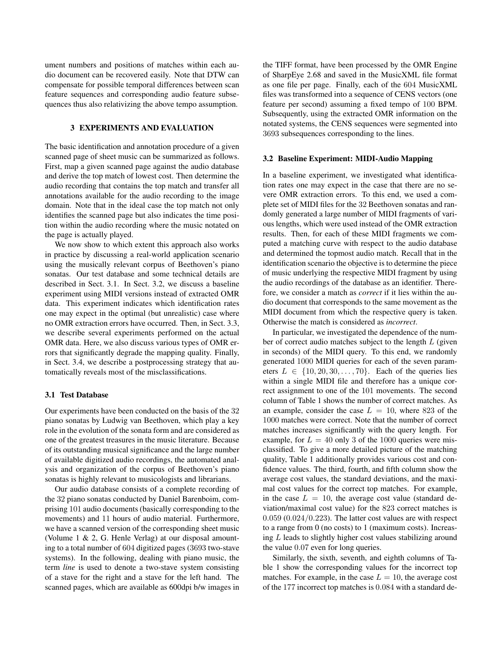ument numbers and positions of matches within each audio document can be recovered easily. Note that DTW can compensate for possible temporal differences between scan feature sequences and corresponding audio feature subsequences thus also relativizing the above tempo assumption.

## **3 EXPERIMENTS AND EVALUATION**

The basic identification and annotation procedure of a given scanned page of sheet music can be summarized as follows. First, map a given scanned page against the audio database and derive the top match of lowest cost. Then determine the audio recording that contains the top match and transfer all annotations available for the audio recording to the image domain. Note that in the ideal case the top match not only identifies the scanned page but also indicates the time position within the audio recording where the music notated on the page is actually played.

We now show to which extent this approach also works in practice by discussing a real-world application scenario using the musically relevant corpus of Beethoven's piano sonatas. Our test database and some technical details are described in Sect. 3.1. In Sect. 3.2, we discuss a baseline experiment using MIDI versions instead of extracted OMR data. This experiment indicates which identification rates one may expect in the optimal (but unrealistic) case where no OMR extraction errors have occurred. Then, in Sect. 3.3, we describe several experiments performed on the actual OMR data. Here, we also discuss various types of OMR errors that significantly degrade the mapping quality. Finally, in Sect. 3.4, we describe a postprocessing strategy that automatically reveals most of the misclassifications.

#### **3.1 Test Database**

Our experiments have been conducted on the basis of the 32 piano sonatas by Ludwig van Beethoven, which play a key role in the evolution of the sonata form and are considered as one of the greatest treasures in the music literature. Because of its outstanding musical significance and the large number of available digitized audio recordings, the automated analysis and organization of the corpus of Beethoven's piano sonatas is highly relevant to musicologists and librarians.

Our audio database consists of a complete recording of the 32 piano sonatas conducted by Daniel Barenboim, comprising 101 audio documents (basically corresponding to the movements) and 11 hours of audio material. Furthermore, we have a scanned version of the corresponding sheet music (Volume 1 & 2, G. Henle Verlag) at our disposal amounting to a total number of 604 digitized pages (3693 two-stave systems). In the following, dealing with piano music, the term *line* is used to denote a two-stave system consisting of a stave for the right and a stave for the left hand. The scanned pages, which are available as 600dpi b/w images in

the TIFF format, have been processed by the OMR Engine of SharpEye 2.68 and saved in the MusicXML file format as one file per page. Finally, each of the 604 MusicXML files was transformed into a sequence of CENS vectors (one feature per second) assuming a fixed tempo of 100 BPM. Subsequently, using the extracted OMR information on the notated systems, the CENS sequences were segmented into 3693 subsequences corresponding to the lines.

#### **3.2 Baseline Experiment: MIDI-Audio Mapping**

In a baseline experiment, we investigated what identification rates one may expect in the case that there are no severe OMR extraction errors. To this end, we used a complete set of MIDI files for the 32 Beethoven sonatas and randomly generated a large number of MIDI fragments of various lengths, which were used instead of the OMR extraction results. Then, for each of these MIDI fragments we computed a matching curve with respect to the audio database and determined the topmost audio match. Recall that in the identification scenario the objective is to determine the piece of music underlying the respective MIDI fragment by using the audio recordings of the database as an identifier. Therefore, we consider a match as *correct* if it lies within the audio document that corresponds to the same movement as the MIDI document from which the respective query is taken. Otherwise the match is considered as *incorrect*.

In particular, we investigated the dependence of the number of correct audio matches subject to the length L (given in seconds) of the MIDI query. To this end, we randomly generated 1000 MIDI queries for each of the seven parameters  $L \in \{10, 20, 30, \ldots, 70\}$ . Each of the queries lies within a single MIDI file and therefore has a unique correct assignment to one of the 101 movements. The second column of Table 1 shows the number of correct matches. As an example, consider the case  $L = 10$ , where 823 of the 1000 matches were correct. Note that the number of correct matches increases significantly with the query length. For example, for  $L = 40$  only 3 of the 1000 queries were misclassified. To give a more detailed picture of the matching quality, Table 1 additionally provides various cost and confidence values. The third, fourth, and fifth column show the average cost values, the standard deviations, and the maximal cost values for the correct top matches. For example, in the case  $L = 10$ , the average cost value (standard deviation/maximal cost value) for the 823 correct matches is  $0.059$   $(0.024/0.223)$ . The latter cost values are with respect to a range from 0 (no costs) to 1 (maximum costs). Increasing L leads to slightly higher cost values stabilizing around the value 0.07 even for long queries.

Similarly, the sixth, seventh, and eighth columns of Table 1 show the corresponding values for the incorrect top matches. For example, in the case  $L = 10$ , the average cost of the 177 incorrect top matches is 0.084 with a standard de-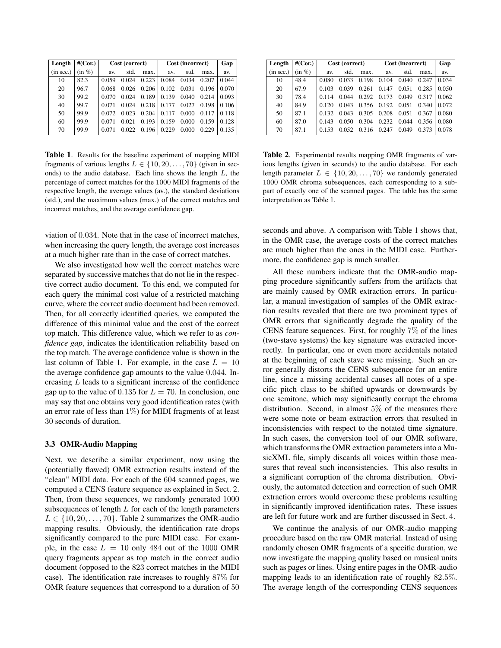| Length    | #(Cor.)   | Cost (correct) |       |       | Cost (incorrect) |       |       | Gap   |
|-----------|-----------|----------------|-------|-------|------------------|-------|-------|-------|
| (in sec.) | $(in \%)$ | av.            | std.  | max.  | av.              | std.  | max.  | av.   |
| 10        | 82.3      | 0.059          | 0.024 | 0.223 | 0.084            | 0.034 | 0.207 | 0.044 |
| 20        | 96.7      | 0.068          | 0.026 | 0.206 | 0.102            | 0.031 | 0.196 | 0.070 |
| 30        | 99.2      | 0.070          | 0.024 | 0.189 | 0.139            | 0.040 | 0.214 | 0.093 |
| 40        | 99.7      | 0.071          | 0.024 | 0.218 | 0.177            | 0.027 | 0.198 | 0.106 |
| 50        | 99.9      | 0.072          | 0.023 | 0.204 | 0.117            | 0.000 | 0.117 | 0.118 |
| 60        | 99.9      | 0.071          | 0.021 | 0.193 | 0.159            | 0.000 | 0.159 | 0.128 |
| 70        | 99.9      |                | 0.022 | 0.196 | 0.229            | 0.000 | 0.229 | 0.135 |

**Table 1**. Results for the baseline experiment of mapping MIDI fragments of various lengths  $L \in \{10, 20, \ldots, 70\}$  (given in seconds) to the audio database. Each line shows the length  $L$ , the percentage of correct matches for the 1000 MIDI fragments of the respective length, the average values (av.), the standard deviations (std.), and the maximum values (max.) of the correct matches and incorrect matches, and the average confidence gap.

viation of 0.034. Note that in the case of incorrect matches, when increasing the query length, the average cost increases at a much higher rate than in the case of correct matches.

We also investigated how well the correct matches were separated by successive matches that do not lie in the respective correct audio document. To this end, we computed for each query the minimal cost value of a restricted matching curve, where the correct audio document had been removed. Then, for all correctly identified queries, we computed the difference of this minimal value and the cost of the correct top match. This difference value, which we refer to as *confidence gap*, indicates the identification reliability based on the top match. The average confidence value is shown in the last column of Table 1. For example, in the case  $L = 10$ the average confidence gap amounts to the value 0.044. Increasing L leads to a significant increase of the confidence gap up to the value of 0.135 for  $L = 70$ . In conclusion, one may say that one obtains very good identification rates (with an error rate of less than  $1\%$ ) for MIDI fragments of at least 30 seconds of duration.

### **3.3 OMR-Audio Mapping**

Next, we describe a similar experiment, now using the (potentially flawed) OMR extraction results instead of the "clean" MIDI data. For each of the 604 scanned pages, we computed a CENS feature sequence as explained in Sect. 2. Then, from these sequences, we randomly generated 1000 subsequences of length  $L$  for each of the length parameters  $L \in \{10, 20, \ldots, 70\}$ . Table 2 summarizes the OMR-audio mapping results. Obviously, the identification rate drops significantly compared to the pure MIDI case. For example, in the case  $L = 10$  only 484 out of the 1000 OMR query fragments appear as top match in the correct audio document (opposed to the 823 correct matches in the MIDI case). The identification rate increases to roughly 87% for OMR feature sequences that correspond to a duration of 50

| Length    | #(Cor.)   |       | Cost (correct) |       | Cost (incorrect) |       |       | Gap   |
|-----------|-----------|-------|----------------|-------|------------------|-------|-------|-------|
| (in sec.) | $(in \%)$ | av.   | std.           | max.  | av.              | std.  | max.  | av.   |
| 10        | 48.4      | 0.080 | 0.033          | 0.198 | 0.104            | 0.040 | 0.247 | 0.034 |
| 20        | 67.9      | 0.103 | 0.039          | 0.261 | 0.147            | 0.051 | 0.285 | 0.050 |
| 30        | 78.4      | 0.114 | 0.044          | 0.292 | 0.173            | 0.049 | 0.317 | 0.062 |
| 40        | 84.9      | 0.120 | 0.043          | 0.356 | 0.192            | 0.051 | 0.340 | 0.072 |
| 50        | 87.1      | 0.132 | 0.043          | 0.305 | 0.208            | 0.051 | 0.367 | 0.080 |
| 60        | 87.0      | 0.143 | 0.050          | 0.304 | 0.232            | 0.044 | 0.356 | 0.080 |
| 70        | 87.1      | 0.153 | 0.052          | 0.316 | 0.247            | 0.049 | 0.373 | 0.078 |

**Table 2**. Experimental results mapping OMR fragments of various lengths (given in seconds) to the audio database. For each length parameter  $L \in \{10, 20, \ldots, 70\}$  we randomly generated 1000 OMR chroma subsequences, each corresponding to a subpart of exactly one of the scanned pages. The table has the same interpretation as Table 1.

seconds and above. A comparison with Table 1 shows that, in the OMR case, the average costs of the correct matches are much higher than the ones in the MIDI case. Furthermore, the confidence gap is much smaller.

All these numbers indicate that the OMR-audio mapping procedure significantly suffers from the artifacts that are mainly caused by OMR extraction errors. In particular, a manual investigation of samples of the OMR extraction results revealed that there are two prominent types of OMR errors that significantly degrade the quality of the CENS feature sequences. First, for roughly  $7\%$  of the lines (two-stave systems) the key signature was extracted incorrectly. In particular, one or even more accidentals notated at the beginning of each stave were missing. Such an error generally distorts the CENS subsequence for an entire line, since a missing accidental causes all notes of a specific pitch class to be shifted upwards or downwards by one semitone, which may significantly corrupt the chroma distribution. Second, in almost 5% of the measures there were some note or beam extraction errors that resulted in inconsistencies with respect to the notated time signature. In such cases, the conversion tool of our OMR software, which transforms the OMR extraction parameters into a MusicXML file, simply discards all voices within those measures that reveal such inconsistencies. This also results in a significant corruption of the chroma distribution. Obviously, the automated detection and correction of such OMR extraction errors would overcome these problems resulting in significantly improved identification rates. These issues are left for future work and are further discussed in Sect. 4.

We continue the analysis of our OMR-audio mapping procedure based on the raw OMR material. Instead of using randomly chosen OMR fragments of a specific duration, we now investigate the mapping quality based on musical units such as pages or lines. Using entire pages in the OMR-audio mapping leads to an identification rate of roughly 82.5%. The average length of the corresponding CENS sequences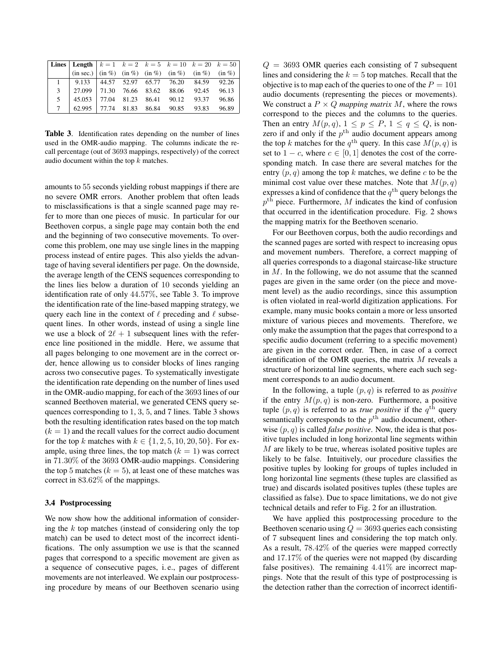| Lines   Length   $k = 1$ $k = 2$ $k = 5$ $k = 10$ $k = 20$ $k = 50$                                                                                                                     |  |  |  |
|-----------------------------------------------------------------------------------------------------------------------------------------------------------------------------------------|--|--|--|
| $\left  \sin \sec \theta \right  \left  \sin \theta \right  \sin \theta$ $\left  \sin \theta \right  \sin \theta$ $\left  \sin \theta \right  \sin \theta$ $\left  \sin \theta \right $ |  |  |  |
| $1 \mid 9.133 \mid 44.57 \mid 52.97 \mid 65.77 \mid 76.20 \mid 84.59 \mid 92.26$                                                                                                        |  |  |  |
| 3   27.099   71.30  76.66  83.62  88.06  92.45  96.13                                                                                                                                   |  |  |  |
| 5 45.053 77.04 81.23 86.41 90.12 93.37 96.86                                                                                                                                            |  |  |  |
| 7 62.995 77.74 81.83 86.84 90.85 93.83 96.89                                                                                                                                            |  |  |  |

**Table 3**. Identification rates depending on the number of lines used in the OMR-audio mapping. The columns indicate the recall percentage (out of 3693 mappings, respectively) of the correct audio document within the top  $k$  matches.

amounts to 55 seconds yielding robust mappings if there are no severe OMR errors. Another problem that often leads to misclassifications is that a single scanned page may refer to more than one pieces of music. In particular for our Beethoven corpus, a single page may contain both the end and the beginning of two consecutive movements. To overcome this problem, one may use single lines in the mapping process instead of entire pages. This also yields the advantage of having several identifiers per page. On the downside, the average length of the CENS sequences corresponding to the lines lies below a duration of 10 seconds yielding an identification rate of only 44.57%, see Table 3. To improve the identification rate of the line-based mapping strategy, we query each line in the context of  $\ell$  preceding and  $\ell$  subsequent lines. In other words, instead of using a single line we use a block of  $2\ell + 1$  subsequent lines with the reference line positioned in the middle. Here, we assume that all pages belonging to one movement are in the correct order, hence allowing us to consider blocks of lines ranging across two consecutive pages. To systematically investigate the identification rate depending on the number of lines used in the OMR-audio mapping, for each of the 3693 lines of our scanned Beethoven material, we generated CENS query sequences corresponding to 1, 3, 5, and 7 lines. Table 3 shows both the resulting identification rates based on the top match  $(k = 1)$  and the recall values for the correct audio document for the top k matches with  $k \in \{1, 2, 5, 10, 20, 50\}$ . For example, using three lines, the top match  $(k = 1)$  was correct in 71.30% of the 3693 OMR-audio mappings. Considering the top 5 matches ( $k = 5$ ), at least one of these matches was correct in 83.62% of the mappings.

### **3.4 Postprocessing**

We now show how the additional information of considering the  $k$  top matches (instead of considering only the top match) can be used to detect most of the incorrect identifications. The only assumption we use is that the scanned pages that correspond to a specific movement are given as a sequence of consecutive pages, i. e., pages of different movements are not interleaved. We explain our postprocessing procedure by means of our Beethoven scenario using

 $Q = 3693$  OMR queries each consisting of 7 subsequent lines and considering the  $k = 5$  top matches. Recall that the objective is to map each of the queries to one of the  $P = 101$ audio documents (representing the pieces or movements). We construct a  $P \times Q$  *mapping matrix* M, where the rows correspond to the pieces and the columns to the queries. Then an entry  $M(p,q)$ ,  $1 \leq p \leq P$ ,  $1 \leq q \leq Q$ , is nonzero if and only if the  $p^{\text{th}}$  audio document appears among the top k matches for the  $q^{\text{th}}$  query. In this case  $M(p, q)$  is set to  $1 - c$ , where  $c \in [0, 1]$  denotes the cost of the corresponding match. In case there are several matches for the entry  $(p, q)$  among the top k matches, we define c to be the minimal cost value over these matches. Note that  $M(p,q)$ expresses a kind of confidence that the  $q^{\text{th}}$  query belongs the  $p<sup>th</sup>$  piece. Furthermore, M indicates the kind of confusion that occurred in the identification procedure. Fig. 2 shows the mapping matrix for the Beethoven scenario.

For our Beethoven corpus, both the audio recordings and the scanned pages are sorted with respect to increasing opus and movement numbers. Therefore, a correct mapping of all queries corresponds to a diagonal staircase-like structure in  $M$ . In the following, we do not assume that the scanned pages are given in the same order (on the piece and movement level) as the audio recordings, since this assumption is often violated in real-world digitization applications. For example, many music books contain a more or less unsorted mixture of various pieces and movements. Therefore, we only make the assumption that the pages that correspond to a specific audio document (referring to a specific movement) are given in the correct order. Then, in case of a correct identification of the OMR queries, the matrix  $M$  reveals a structure of horizontal line segments, where each such segment corresponds to an audio document.

In the following, a tuple  $(p, q)$  is referred to as *positive* if the entry  $M(p, q)$  is non-zero. Furthermore, a positive tuple  $(p, q)$  is referred to as *true positive* if the  $q^{\text{th}}$  query semantically corresponds to the  $p<sup>th</sup>$  audio document, otherwise  $(p, q)$  is called *false positive*. Now, the idea is that positive tuples included in long horizontal line segments within M are likely to be true, whereas isolated positive tuples are likely to be false. Intuitively, our procedure classifies the positive tuples by looking for groups of tuples included in long horizontal line segments (these tuples are classified as true) and discards isolated positives tuples (these tuples are classified as false). Due to space limitations, we do not give technical details and refer to Fig. 2 for an illustration.

We have applied this postprocessing procedure to the Beethoven scenario using  $Q = 3693$  queries each consisting of 7 subsequent lines and considering the top match only. As a result, 78.42% of the queries were mapped correctly and 17.17% of the queries were not mapped (by discarding false positives). The remaining  $4.41\%$  are incorrect mappings. Note that the result of this type of postprocessing is the detection rather than the correction of incorrect identifi-